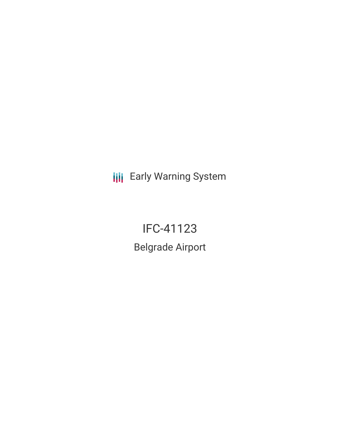**III** Early Warning System

IFC-41123 Belgrade Airport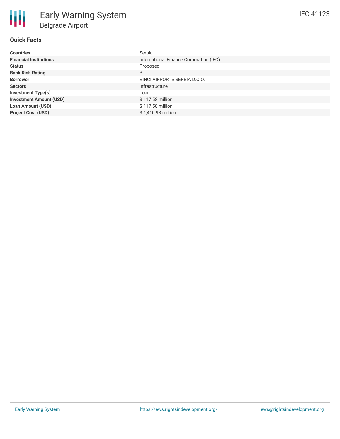| <b>Countries</b>               | Serbia                                  |
|--------------------------------|-----------------------------------------|
| <b>Financial Institutions</b>  | International Finance Corporation (IFC) |
| <b>Status</b>                  | Proposed                                |
| <b>Bank Risk Rating</b>        | B                                       |
| <b>Borrower</b>                | VINCI AIRPORTS SERBIA D.O.O.            |
| <b>Sectors</b>                 | Infrastructure                          |
| <b>Investment Type(s)</b>      | Loan                                    |
| <b>Investment Amount (USD)</b> | \$117.58 million                        |
| <b>Loan Amount (USD)</b>       | \$117.58 million                        |
| <b>Project Cost (USD)</b>      | \$1,410.93 million                      |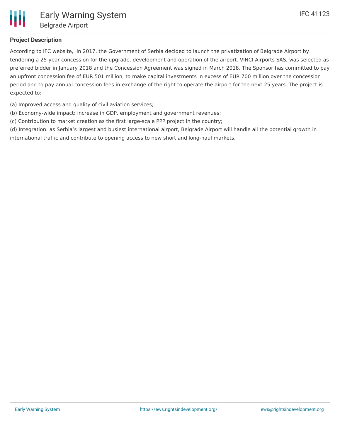# **Project Description**

According to IFC website, in 2017, the Government of Serbia decided to launch the privatization of Belgrade Airport by tendering a 25-year concession for the upgrade, development and operation of the airport. VINCI Airports SAS, was selected as preferred bidder in January 2018 and the Concession Agreement was signed in March 2018. The Sponsor has committed to pay an upfront concession fee of EUR 501 million, to make capital investments in excess of EUR 700 million over the concession period and to pay annual concession fees in exchange of the right to operate the airport for the next 25 years. The project is expected to:

- (a) Improved access and quality of civil aviation services;
- (b) Economy-wide impact: increase in GDP, employment and government revenues;
- (c) Contribution to market creation as the first large-scale PPP project in the country;

(d) Integration: as Serbia's largest and busiest international airport, Belgrade Airport will handle all the potential growth in international traffic and contribute to opening access to new short and long-haul markets.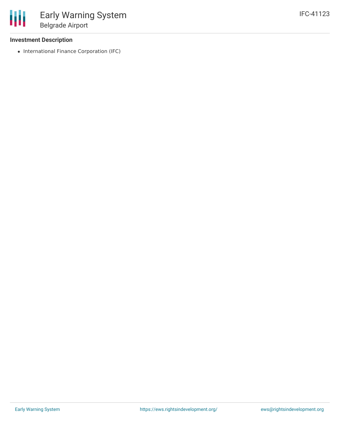### **Investment Description**

• International Finance Corporation (IFC)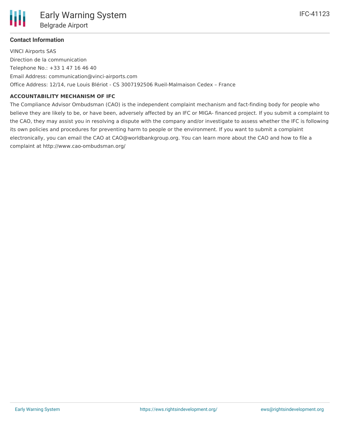## **Contact Information**

VINCI Airports SAS Direction de la communication Telephone No.: +33 1 47 16 46 40 Email Address: communication@vinci-airports.com Office Address: 12/14, rue Louis Blériot - CS 3007192506 Rueil-Malmaison Cedex – France

### **ACCOUNTABILITY MECHANISM OF IFC**

The Compliance Advisor Ombudsman (CAO) is the independent complaint mechanism and fact-finding body for people who believe they are likely to be, or have been, adversely affected by an IFC or MIGA- financed project. If you submit a complaint to the CAO, they may assist you in resolving a dispute with the company and/or investigate to assess whether the IFC is following its own policies and procedures for preventing harm to people or the environment. If you want to submit a complaint electronically, you can email the CAO at CAO@worldbankgroup.org. You can learn more about the CAO and how to file a complaint at http://www.cao-ombudsman.org/